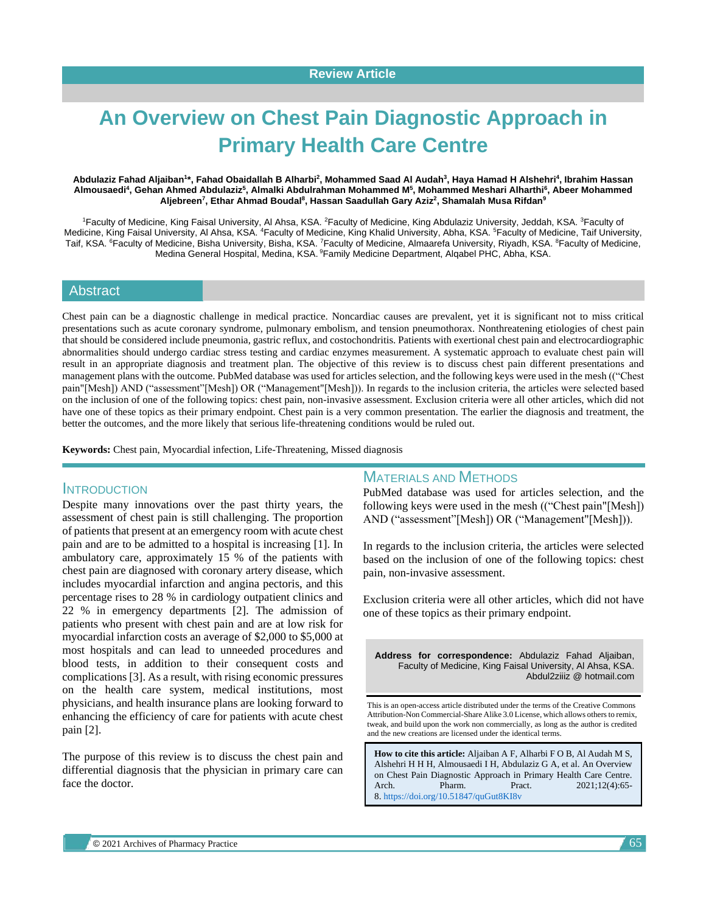# **An Overview on Chest Pain Diagnostic Approach in Primary Health Care Centre**

#### Abdulaziz Fahad Aljaiban<sup>1</sup>\*, Fahad Obaidallah B Alharbi<sup>2</sup>, Mohammed Saad Al Audah<sup>3</sup>, Haya Hamad H Alshehri<sup>4</sup>, Ibrahim Hassan **Almousaedi<sup>4</sup> , Gehan Ahmed Abdulaziz<sup>5</sup> , Almalki Abdulrahman Mohammed M<sup>5</sup> , Mohammed Meshari Alharthi<sup>6</sup> , Abeer Mohammed Aljebreen<sup>7</sup> , Ethar Ahmad Boudal<sup>8</sup> , Hassan Saadullah Gary Aziz<sup>2</sup> , Shamalah Musa Rifdan<sup>9</sup>**

1Faculty of Medicine, King Faisal University, AI Ahsa, KSA. <sup>2</sup>Faculty of Medicine, King Abdulaziz University, Jeddah, KSA. <sup>3</sup>Faculty of Medicine, King Faisal University, Al Ahsa, KSA. <sup>4</sup>Faculty of Medicine, King Khalid University, Abha, KSA. <sup>5</sup>Faculty of Medicine, Taif University, Taif, KSA. <sup>6</sup>Faculty of Medicine, Bisha University, Bisha, KSA. <sup>7</sup>Faculty of Medicine, Almaarefa University, Riyadh, KSA. <sup>8</sup>Faculty of Medicine, Medina General Hospital, Medina, KSA. <sup>9</sup>Family Medicine Department, Alqabel PHC, Abha, KSA.

## Abstract

Chest pain can be a diagnostic challenge in medical practice. Noncardiac causes are prevalent, yet it is significant not to miss critical presentations such as acute coronary syndrome, pulmonary embolism, and tension pneumothorax. Nonthreatening etiologies of chest pain that should be considered include pneumonia, gastric reflux, and costochondritis. Patients with exertional chest pain and electrocardiographic abnormalities should undergo cardiac stress testing and cardiac enzymes measurement. A systematic approach to evaluate chest pain will result in an appropriate diagnosis and treatment plan. The objective of this review is to discuss chest pain different presentations and management plans with the outcome. PubMed database was used for articles selection, and the following keys were used in the mesh (("Chest pain"[Mesh]) AND ("assessment"[Mesh]) OR ("Management"[Mesh])). In regards to the inclusion criteria, the articles were selected based on the inclusion of one of the following topics: chest pain, non-invasive assessment. Exclusion criteria were all other articles, which did not have one of these topics as their primary endpoint. Chest pain is a very common presentation. The earlier the diagnosis and treatment, the better the outcomes, and the more likely that serious life-threatening conditions would be ruled out.

**Keywords:** Chest pain, Myocardial infection, Life-Threatening, Missed diagnosis

### **INTRODUCTION**

Despite many innovations over the past thirty years, the assessment of chest pain is still challenging. The proportion of patients that present at an emergency room with acute chest pain and are to be admitted to a hospital is increasing [1]. In ambulatory care, approximately 15 % of the patients with chest pain are diagnosed with coronary artery disease, which includes myocardial infarction and angina pectoris, and this percentage rises to 28 % in cardiology outpatient clinics and 22 % in emergency departments [2]. The admission of patients who present with chest pain and are at low risk for myocardial infarction costs an average of \$2,000 to \$5,000 at most hospitals and can lead to unneeded procedures and blood tests, in addition to their consequent costs and complications [3]. As a result, with rising economic pressures on the health care system, medical institutions, most physicians, and health insurance plans are looking forward to enhancing the efficiency of care for patients with acute chest pain [2].

The purpose of this review is to discuss the chest pain and differential diagnosis that the physician in primary care can face the doctor.

# MATERIALS AND METHODS

PubMed database was used for articles selection, and the following keys were used in the mesh (("Chest pain"[Mesh]) AND ("assessment"[Mesh]) OR ("Management"[Mesh])).

In regards to the inclusion criteria, the articles were selected based on the inclusion of one of the following topics: chest pain, non-invasive assessment.

Exclusion criteria were all other articles, which did not have one of these topics as their primary endpoint.

**Address for correspondence:** Abdulaziz Fahad Aljaiban, Faculty of Medicine, King Faisal University, Al Ahsa, KSA. Abdul2ziiiz @ hotmail.com

This is an open-access article distributed under the terms of the Creative Commons Attribution-Non Commercial-Share Alike 3.0 License, which allows others to remix, tweak, and build upon the work non commercially, as long as the author is credited and the new creations are licensed under the identical terms.

**How to cite this article:** Aljaiban A F, Alharbi F O B, Al Audah M S, Alshehri H H H, Almousaedi I H, Abdulaziz G A, et al. An Overview on Chest Pain Diagnostic Approach in Primary Health Care Centre. Arch. Pharm. Pract. 2021;12(4):65-8. <https://doi.org/10.51847/quGut8KI8v>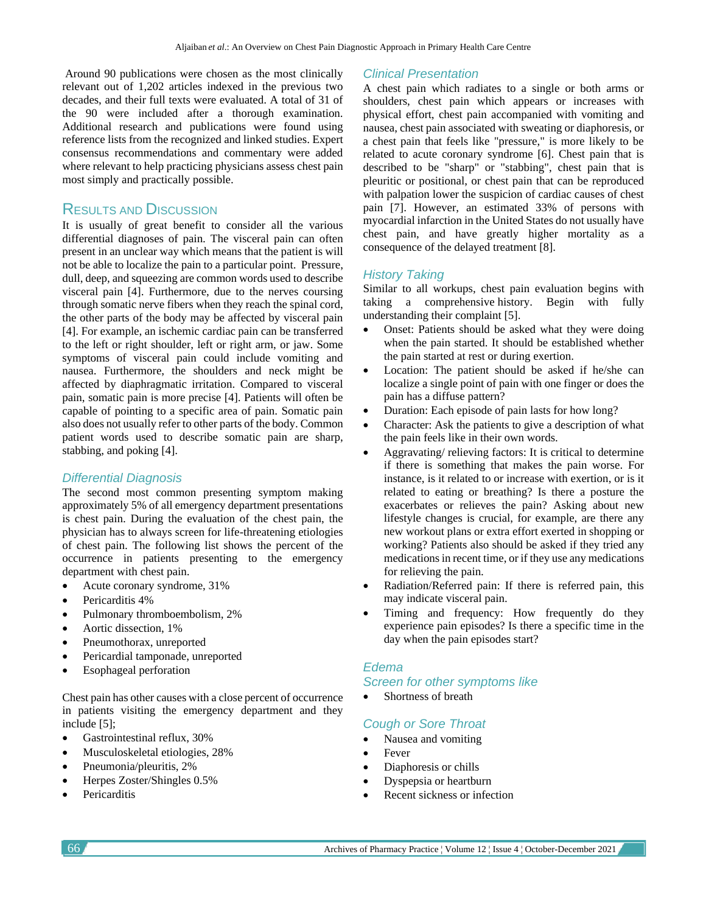Around 90 publications were chosen as the most clinically relevant out of 1,202 articles indexed in the previous two decades, and their full texts were evaluated. A total of 31 of the 90 were included after a thorough examination. Additional research and publications were found using reference lists from the recognized and linked studies. Expert consensus recommendations and commentary were added where relevant to help practicing physicians assess chest pain most simply and practically possible.

# RESULTS AND DISCUSSION

It is usually of great benefit to consider all the various differential diagnoses of pain. The visceral pain can often present in an unclear way which means that the patient is will not be able to localize the pain to a particular point. Pressure, dull, deep, and squeezing are common words used to describe visceral pain [4]. Furthermore, due to the nerves coursing through somatic nerve fibers when they reach the spinal cord, the other parts of the body may be affected by visceral pain [4]. For example, an ischemic cardiac pain can be transferred to the left or right shoulder, left or right arm, or jaw. Some symptoms of visceral pain could include vomiting and nausea. Furthermore, the shoulders and neck might be affected by diaphragmatic irritation. Compared to visceral pain, somatic pain is more precise [4]. Patients will often be capable of pointing to a specific area of pain. Somatic pain also does not usually refer to other parts of the body. Common patient words used to describe somatic pain are sharp, stabbing, and poking [4].

## *Differential Diagnosis*

The second most common presenting symptom making approximately 5% of all emergency department presentations is chest pain. During the evaluation of the chest pain, the physician has to always screen for life-threatening etiologies of chest pain. The following list shows the percent of the occurrence in patients presenting to the emergency department with chest pain.

- Acute coronary syndrome, 31%
- Pericarditis 4%
- Pulmonary thromboembolism, 2%
- Aortic dissection, 1%
- Pneumothorax, unreported
- Pericardial tamponade, unreported
- Esophageal perforation

Chest pain has other causes with a close percent of occurrence in patients visiting the emergency department and they include [5];

- Gastrointestinal reflux, 30%
- Musculoskeletal etiologies, 28%
- Pneumonia/pleuritis, 2%
- Herpes Zoster/Shingles 0.5%
- **Pericarditis**

### *Clinical Presentation*

A chest pain which radiates to a single or both arms or shoulders, chest pain which appears or increases with physical effort, chest pain accompanied with vomiting and nausea, chest pain associated with sweating or diaphoresis, or a chest pain that feels like "pressure," is more likely to be related to acute coronary syndrome [6]. Chest pain that is described to be "sharp" or "stabbing", chest pain that is pleuritic or positional, or chest pain that can be reproduced with palpation lower the suspicion of cardiac causes of chest pain [7]. However, an estimated 33% of persons with myocardial infarction in the United States do not usually have chest pain, and have greatly higher mortality as a consequence of the delayed treatment [8].

## *History Taking*

Similar to all workups, chest pain evaluation begins with taking a comprehensive history. Begin with fully understanding their complaint [5].

- Onset: Patients should be asked what they were doing when the pain started. It should be established whether the pain started at rest or during exertion.
- Location: The patient should be asked if he/she can localize a single point of pain with one finger or does the pain has a diffuse pattern?
- Duration: Each episode of pain lasts for how long?
- Character: Ask the patients to give a description of what the pain feels like in their own words.
- Aggravating/ relieving factors: It is critical to determine if there is something that makes the pain worse. For instance, is it related to or increase with exertion, or is it related to eating or breathing? Is there a posture the exacerbates or relieves the pain? Asking about new lifestyle changes is crucial, for example, are there any new workout plans or extra effort exerted in shopping or working? Patients also should be asked if they tried any medications in recent time, or if they use any medications for relieving the pain.
- Radiation/Referred pain: If there is referred pain, this may indicate visceral pain.
- Timing and frequency: How frequently do they experience pain episodes? Is there a specific time in the day when the pain episodes start?

## *Edema*

## *Screen for other symptoms like*

Shortness of breath

# *Cough or Sore Throat*

- Nausea and vomiting
- Fever
- Diaphoresis or chills
- Dyspepsia or heartburn
- Recent sickness or infection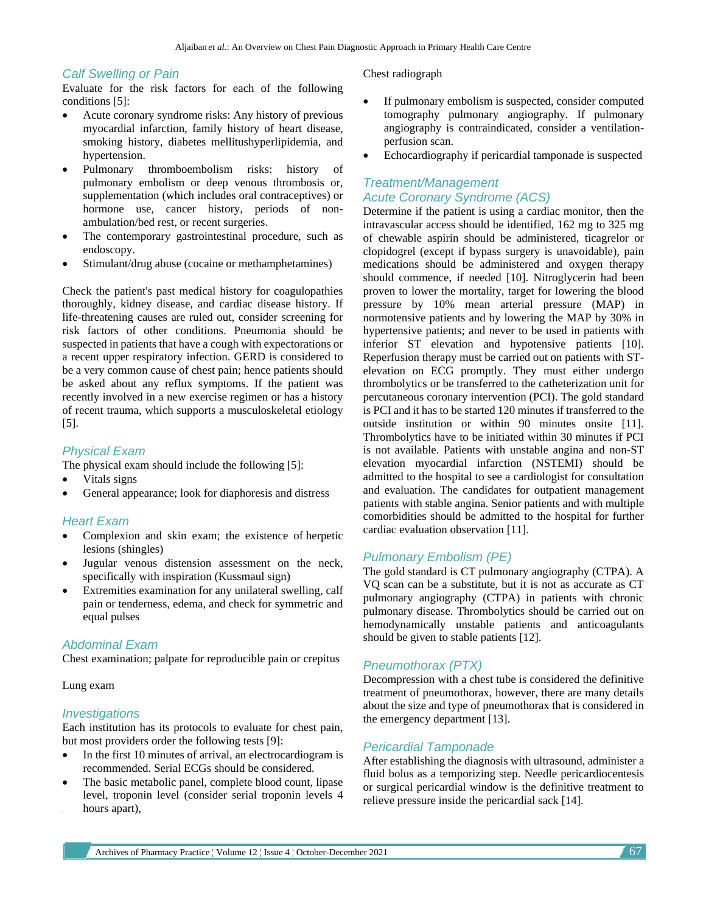#### *Calf Swelling or Pain*

Evaluate for the risk factors for each of the following conditions [5]:

- Acute coronary syndrome risks: Any history of previous myocardial infarction, family history of heart disease, smoking history, diabetes mellitushyperlipidemia, and hypertension.
- Pulmonary thromboembolism risks: history of pulmonary embolism or deep venous thrombosis or, supplementation (which includes oral contraceptives) or hormone use, cancer history, periods of nonambulation/bed rest, or recent surgeries.
- The contemporary gastrointestinal procedure, such as endoscopy.
- Stimulant/drug abuse (cocaine or methamphetamines)

Check the patient's past medical history for coagulopathies thoroughly, kidney disease, and cardiac disease history. If life-threatening causes are ruled out, consider screening for risk factors of other conditions. Pneumonia should be suspected in patients that have a cough with expectorations or a recent upper respiratory infection. GERD is considered to be a very common cause of chest pain; hence patients should be asked about any reflux symptoms. If the patient was recently involved in a new exercise regimen or has a history of recent trauma, which supports a musculoskeletal etiology [5].

## *Physical Exam*

The physical exam should include the following [5]:

- Vitals signs
- General appearance; look for diaphoresis and distress

# *Heart Exam*

- Complexion and skin exam; the existence of herpetic lesions (shingles)
- Jugular venous distension assessment on the neck, specifically with inspiration (Kussmaul sign)
- Extremities examination for any unilateral swelling, calf pain or tenderness, edema, and check for symmetric and equal pulses

### *Abdominal Exam*

Chest examination; palpate for reproducible pain or crepitus

#### Lung exam

### *Investigations*

Each institution has its protocols to evaluate for chest pain, but most providers order the following tests [9]:

- In the first 10 minutes of arrival, an electrocardiogram is recommended. Serial ECGs should be considered.
- The basic metabolic panel, complete blood count, lipase level, troponin level (consider serial troponin levels 4 hours apart),

#### Chest radiograph

- If pulmonary embolism is suspected, consider computed tomography pulmonary angiography. If pulmonary angiography is contraindicated, consider a ventilationperfusion scan.
- Echocardiography if pericardial tamponade is suspected

# *Treatment/Management Acute Coronary Syndrome (ACS)*

Determine if the patient is using a cardiac monitor, then the intravascular access should be identified, 162 mg to 325 mg of chewable aspirin should be administered, ticagrelor or clopidogrel (except if bypass surgery is unavoidable), pain medications should be administered and oxygen therapy should commence, if needed [10]. Nitroglycerin had been proven to lower the mortality, target for lowering the blood pressure by 10% mean arterial pressure (MAP) in normotensive patients and by lowering the MAP by 30% in hypertensive patients; and never to be used in patients with inferior ST elevation and hypotensive patients [10]. Reperfusion therapy must be carried out on patients with STelevation on ECG promptly. They must either undergo thrombolytics or be transferred to the catheterization unit for percutaneous coronary intervention (PCI). The gold standard is PCI and it has to be started 120 minutes if transferred to the outside institution or within 90 minutes onsite [11]. Thrombolytics have to be initiated within 30 minutes if PCI is not available. Patients with unstable angina and non-ST elevation myocardial infarction (NSTEMI) should be admitted to the hospital to see a cardiologist for consultation and evaluation. The candidates for outpatient management patients with stable angina. Senior patients and with multiple comorbidities should be admitted to the hospital for further cardiac evaluation observation [11].

## *Pulmonary Embolism (PE)*

The gold standard is CT pulmonary angiography (CTPA). A VQ scan can be a substitute, but it is not as accurate as CT pulmonary angiography (CTPA) in patients with chronic pulmonary disease. Thrombolytics should be carried out on hemodynamically unstable patients and anticoagulants should be given to stable patients [12].

## *Pneumothorax (PTX)*

Decompression with a chest tube is considered the definitive treatment of pneumothorax, however, there are many details about the size and type of pneumothorax that is considered in the emergency department [13].

### *Pericardial Tamponade*

After establishing the diagnosis with ultrasound, administer a fluid bolus as a temporizing step. Needle pericardiocentesis or surgical pericardial window is the definitive treatment to relieve pressure inside the pericardial sack [14].